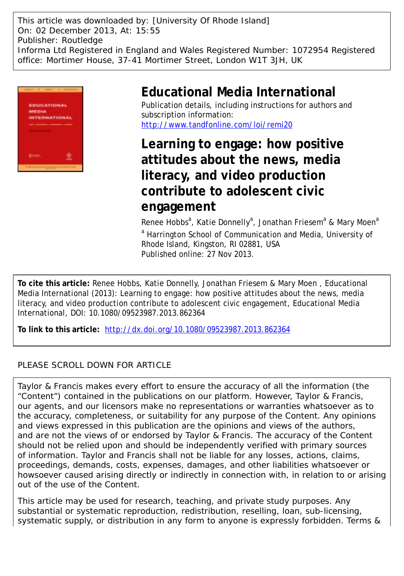This article was downloaded by: [University Of Rhode Island] On: 02 December 2013, At: 15:55 Publisher: Routledge Informa Ltd Registered in England and Wales Registered Number: 1072954 Registered office: Mortimer House, 37-41 Mortimer Street, London W1T 3JH, UK



# **Educational Media International**

Publication details, including instructions for authors and subscription information: <http://www.tandfonline.com/loi/remi20>

**Learning to engage: how positive attitudes about the news, media literacy, and video production contribute to adolescent civic engagement**

Renee Hobbs<sup>a</sup>, Katie Donnelly<sup>a</sup>, Jonathan Friesem<sup>a</sup> & Mary Moen<sup>a</sup> <sup>a</sup> Harrington School of Communication and Media, University of Rhode Island, Kingston, RI 02881, USA Published online: 27 Nov 2013.

**To cite this article:** Renee Hobbs, Katie Donnelly, Jonathan Friesem & Mary Moen , Educational Media International (2013): Learning to engage: how positive attitudes about the news, media literacy, and video production contribute to adolescent civic engagement, Educational Media International, DOI: 10.1080/09523987.2013.862364

**To link to this article:** <http://dx.doi.org/10.1080/09523987.2013.862364>

# PLEASE SCROLL DOWN FOR ARTICLE

Taylor & Francis makes every effort to ensure the accuracy of all the information (the "Content") contained in the publications on our platform. However, Taylor & Francis, our agents, and our licensors make no representations or warranties whatsoever as to the accuracy, completeness, or suitability for any purpose of the Content. Any opinions and views expressed in this publication are the opinions and views of the authors, and are not the views of or endorsed by Taylor & Francis. The accuracy of the Content should not be relied upon and should be independently verified with primary sources of information. Taylor and Francis shall not be liable for any losses, actions, claims, proceedings, demands, costs, expenses, damages, and other liabilities whatsoever or howsoever caused arising directly or indirectly in connection with, in relation to or arising out of the use of the Content.

This article may be used for research, teaching, and private study purposes. Any substantial or systematic reproduction, redistribution, reselling, loan, sub-licensing, systematic supply, or distribution in any form to anyone is expressly forbidden. Terms &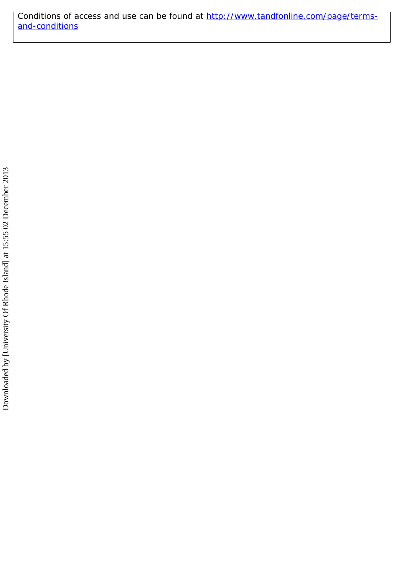Conditions of access and use can be found at [http://www.tandfonline.com/page/terms](http://www.tandfonline.com/page/terms-and-conditions)[and-conditions](http://www.tandfonline.com/page/terms-and-conditions)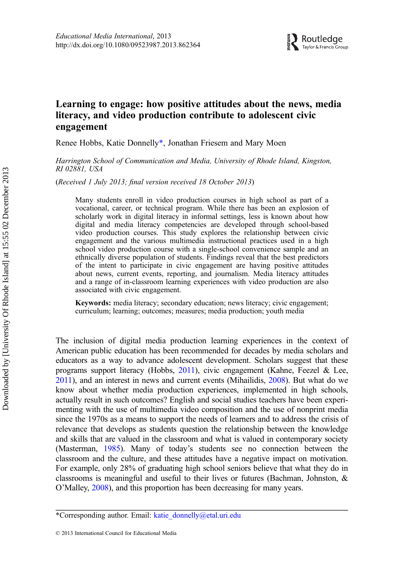# Learning to engage: how positive attitudes about the news, media literacy, and video production contribute to adolescent civic engagement

Renee Hobbs, Katie Donnelly\*, Jonathan Friesem and Mary Moen

Harrington School of Communication and Media, University of Rhode Island, Kingston, RI 02881, USA

(Received 1 July 2013; final version received 18 October 2013)

Many students enroll in video production courses in high school as part of a vocational, career, or technical program. While there has been an explosion of scholarly work in digital literacy in informal settings, less is known about how digital and media literacy competencies are developed through school-based video production courses. This study explores the relationship between civic engagement and the various multimedia instructional practices used in a high school video production course with a single-school convenience sample and an ethnically diverse population of students. Findings reveal that the best predictors of the intent to participate in civic engagement are having positive attitudes about news, current events, reporting, and journalism. Media literacy attitudes and a range of in-classroom learning experiences with video production are also associated with civic engagement.

Keywords: media literacy; secondary education; news literacy; civic engagement; curriculum; learning; outcomes; measures; media production; youth media

The inclusion of digital media production learning experiences in the context of American public education has been recommended for decades by media scholars and educators as a way to advance adolescent development. Scholars suggest that these programs support literacy (Hobbs, [2011](#page-16-0)), civic engagement (Kahne, Feezel & Lee, [2011](#page-16-0)), and an interest in news and current events (Mihailidis, [2008\)](#page-16-0). But what do we know about whether media production experiences, implemented in high schools, actually result in such outcomes? English and social studies teachers have been experimenting with the use of multimedia video composition and the use of nonprint media since the 1970s as a means to support the needs of learners and to address the crisis of relevance that develops as students question the relationship between the knowledge and skills that are valued in the classroom and what is valued in contemporary society (Masterman, [1985\)](#page-16-0). Many of today's students see no connection between the classroom and the culture, and these attitudes have a negative impact on motivation. For example, only 28% of graduating high school seniors believe that what they do in classrooms is meaningful and useful to their lives or futures (Bachman, Johnston, & O'Malley, [2008\)](#page-16-0), and this proportion has been decreasing for many years.

<sup>\*</sup>Corresponding author. Email: [katie\\_donnelly@etal.uri.edu](mailto:katie_donnelly@etal.uri.edu)

<sup>© 2013</sup> International Council for Educational Media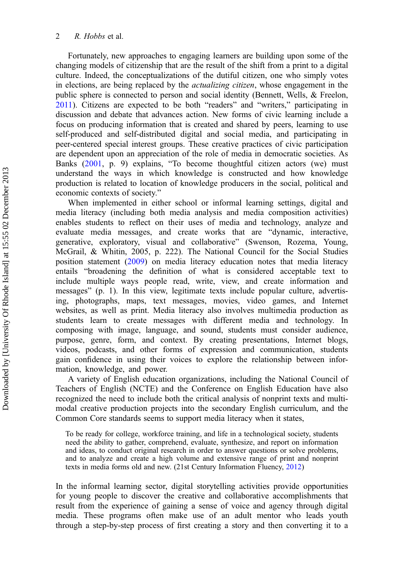Fortunately, new approaches to engaging learners are building upon some of the changing models of citizenship that are the result of the shift from a print to a digital culture. Indeed, the conceptualizations of the dutiful citizen, one who simply votes in elections, are being replaced by the *actualizing citizen*, whose engagement in the public sphere is connected to person and social identity (Bennett, Wells, & Freelon, [2011\)](#page-16-0). Citizens are expected to be both "readers" and "writers," participating in discussion and debate that advances action. New forms of civic learning include a focus on producing information that is created and shared by peers, learning to use self-produced and self-distributed digital and social media, and participating in peer-centered special interest groups. These creative practices of civic participation are dependent upon an appreciation of the role of media in democratic societies. As Banks ([2001,](#page-16-0) p. 9) explains, "To become thoughtful citizen actors (we) must understand the ways in which knowledge is constructed and how knowledge production is related to location of knowledge producers in the social, political and economic contexts of society."

When implemented in either school or informal learning settings, digital and media literacy (including both media analysis and media composition activities) enables students to reflect on their uses of media and technology, analyze and evaluate media messages, and create works that are "dynamic, interactive, generative, exploratory, visual and collaborative" (Swenson, Rozema, Young, McGrail, & Whitin, 2005, p. 222). The National Council for the Social Studies position statement ([2009\)](#page-17-0) on media literacy education notes that media literacy entails "broadening the definition of what is considered acceptable text to include multiple ways people read, write, view, and create information and messages" (p. 1). In this view, legitimate texts include popular culture, advertising, photographs, maps, text messages, movies, video games, and Internet websites, as well as print. Media literacy also involves multimedia production as students learn to create messages with different media and technology. In composing with image, language, and sound, students must consider audience, purpose, genre, form, and context. By creating presentations, Internet blogs, videos, podcasts, and other forms of expression and communication, students gain confidence in using their voices to explore the relationship between information, knowledge, and power.

A variety of English education organizations, including the National Council of Teachers of English (NCTE) and the Conference on English Education have also recognized the need to include both the critical analysis of nonprint texts and multimodal creative production projects into the secondary English curriculum, and the Common Core standards seems to support media literacy when it states,

To be ready for college, workforce training, and life in a technological society, students need the ability to gather, comprehend, evaluate, synthesize, and report on information and ideas, to conduct original research in order to answer questions or solve problems, and to analyze and create a high volume and extensive range of print and nonprint texts in media forms old and new. (21st Century Information Fluency, [2012](#page-16-0))

In the informal learning sector, digital storytelling activities provide opportunities for young people to discover the creative and collaborative accomplishments that result from the experience of gaining a sense of voice and agency through digital media. These programs often make use of an adult mentor who leads youth through a step-by-step process of first creating a story and then converting it to a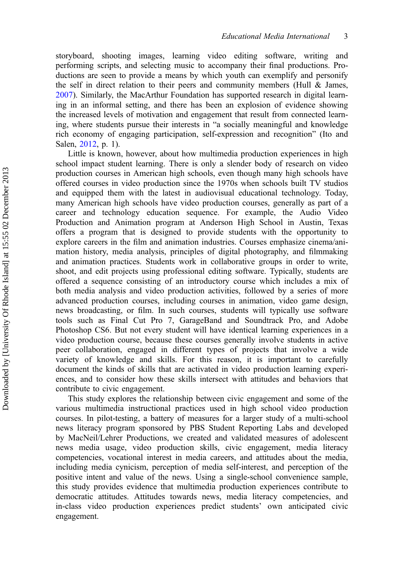storyboard, shooting images, learning video editing software, writing and performing scripts, and selecting music to accompany their final productions. Productions are seen to provide a means by which youth can exemplify and personify the self in direct relation to their peers and community members (Hull  $\&$  James, [2007\)](#page-16-0). Similarly, the MacArthur Foundation has supported research in digital learning in an informal setting, and there has been an explosion of evidence showing the increased levels of motivation and engagement that result from connected learning, where students pursue their interests in "a socially meaningful and knowledge rich economy of engaging participation, self-expression and recognition" (Ito and Salen, [2012](#page-16-0), p. 1).

Little is known, however, about how multimedia production experiences in high school impact student learning. There is only a slender body of research on video production courses in American high schools, even though many high schools have offered courses in video production since the 1970s when schools built TV studios and equipped them with the latest in audiovisual educational technology. Today, many American high schools have video production courses, generally as part of a career and technology education sequence. For example, the Audio Video Production and Animation program at Anderson High School in Austin, Texas offers a program that is designed to provide students with the opportunity to explore careers in the film and animation industries. Courses emphasize cinema/animation history, media analysis, principles of digital photography, and filmmaking and animation practices. Students work in collaborative groups in order to write, shoot, and edit projects using professional editing software. Typically, students are offered a sequence consisting of an introductory course which includes a mix of both media analysis and video production activities, followed by a series of more advanced production courses, including courses in animation, video game design, news broadcasting, or film. In such courses, students will typically use software tools such as Final Cut Pro 7, GarageBand and Soundtrack Pro, and Adobe Photoshop CS6. But not every student will have identical learning experiences in a video production course, because these courses generally involve students in active peer collaboration, engaged in different types of projects that involve a wide variety of knowledge and skills. For this reason, it is important to carefully document the kinds of skills that are activated in video production learning experiences, and to consider how these skills intersect with attitudes and behaviors that contribute to civic engagement.

This study explores the relationship between civic engagement and some of the various multimedia instructional practices used in high school video production courses. In pilot-testing, a battery of measures for a larger study of a multi-school news literacy program sponsored by PBS Student Reporting Labs and developed by MacNeil/Lehrer Productions, we created and validated measures of adolescent news media usage, video production skills, civic engagement, media literacy competencies, vocational interest in media careers, and attitudes about the media, including media cynicism, perception of media self-interest, and perception of the positive intent and value of the news. Using a single-school convenience sample, this study provides evidence that multimedia production experiences contribute to democratic attitudes. Attitudes towards news, media literacy competencies, and in-class video production experiences predict students' own anticipated civic engagement.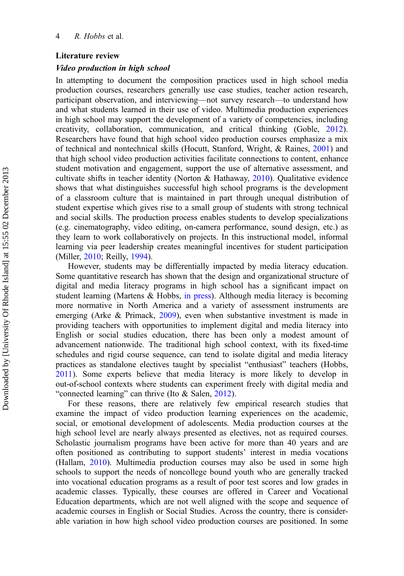#### Literature review

#### Video production in high school

In attempting to document the composition practices used in high school media production courses, researchers generally use case studies, teacher action research, participant observation, and interviewing—not survey research—to understand how and what students learned in their use of video. Multimedia production experiences in high school may support the development of a variety of competencies, including creativity, collaboration, communication, and critical thinking (Goble, [2012](#page-16-0)). Researchers have found that high school video production courses emphasize a mix of technical and nontechnical skills (Hocutt, Stanford, Wright, & Raines, [2001](#page-16-0)) and that high school video production activities facilitate connections to content, enhance student motivation and engagement, support the use of alternative assessment, and cultivate shifts in teacher identity (Norton & Hathaway,  $2010$ ). Qualitative evidence shows that what distinguishes successful high school programs is the development of a classroom culture that is maintained in part through unequal distribution of student expertise which gives rise to a small group of students with strong technical and social skills. The production process enables students to develop specializations (e.g. cinematography, video editing, on-camera performance, sound design, etc.) as they learn to work collaboratively on projects. In this instructional model, informal learning via peer leadership creates meaningful incentives for student participation (Miller, [2010](#page-16-0); Reilly, [1994\)](#page-17-0).

However, students may be differentially impacted by media literacy education. Some quantitative research has shown that the design and organizational structure of digital and media literacy programs in high school has a significant impact on student learning (Martens & Hobbs, [in press\)](#page-16-0). Although media literacy is becoming more normative in North America and a variety of assessment instruments are emerging (Arke & Primack, [2009](#page-16-0)), even when substantive investment is made in providing teachers with opportunities to implement digital and media literacy into English or social studies education, there has been only a modest amount of advancement nationwide. The traditional high school context, with its fixed-time schedules and rigid course sequence, can tend to isolate digital and media literacy practices as standalone electives taught by specialist "enthusiast" teachers (Hobbs, [2011\)](#page-16-0). Some experts believe that media literacy is more likely to develop in out-of-school contexts where students can experiment freely with digital media and "connected learning" can thrive (Ito & Salen, [2012\)](#page-16-0).

For these reasons, there are relatively few empirical research studies that examine the impact of video production learning experiences on the academic, social, or emotional development of adolescents. Media production courses at the high school level are nearly always presented as electives, not as required courses. Scholastic journalism programs have been active for more than 40 years and are often positioned as contributing to support students' interest in media vocations (Hallam, [2010\)](#page-16-0). Multimedia production courses may also be used in some high schools to support the needs of noncollege bound youth who are generally tracked into vocational education programs as a result of poor test scores and low grades in academic classes. Typically, these courses are offered in Career and Vocational Education departments, which are not well aligned with the scope and sequence of academic courses in English or Social Studies. Across the country, there is considerable variation in how high school video production courses are positioned. In some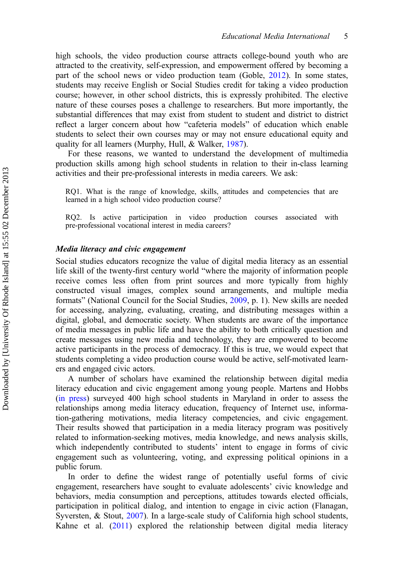high schools, the video production course attracts college-bound youth who are attracted to the creativity, self-expression, and empowerment offered by becoming a part of the school news or video production team (Goble, [2012](#page-16-0)). In some states, students may receive English or Social Studies credit for taking a video production course; however, in other school districts, this is expressly prohibited. The elective nature of these courses poses a challenge to researchers. But more importantly, the substantial differences that may exist from student to student and district to district reflect a larger concern about how "cafeteria models" of education which enable students to select their own courses may or may not ensure educational equity and quality for all learners (Murphy, Hull, & Walker, [1987](#page-17-0)).

For these reasons, we wanted to understand the development of multimedia production skills among high school students in relation to their in-class learning activities and their pre-professional interests in media careers. We ask:

RQ1. What is the range of knowledge, skills, attitudes and competencies that are learned in a high school video production course?

RQ2. Is active participation in video production courses associated with pre-professional vocational interest in media careers?

#### Media literacy and civic engagement

Social studies educators recognize the value of digital media literacy as an essential life skill of the twenty-first century world "where the majority of information people receive comes less often from print sources and more typically from highly constructed visual images, complex sound arrangements, and multiple media formats" (National Council for the Social Studies, [2009,](#page-17-0) p. 1). New skills are needed for accessing, analyzing, evaluating, creating, and distributing messages within a digital, global, and democratic society. When students are aware of the importance of media messages in public life and have the ability to both critically question and create messages using new media and technology, they are empowered to become active participants in the process of democracy. If this is true, we would expect that students completing a video production course would be active, self-motivated learners and engaged civic actors.

A number of scholars have examined the relationship between digital media literacy education and civic engagement among young people. Martens and Hobbs [\(in press\)](#page-16-0) surveyed 400 high school students in Maryland in order to assess the relationships among media literacy education, frequency of Internet use, information-gathering motivations, media literacy competencies, and civic engagement. Their results showed that participation in a media literacy program was positively related to information-seeking motives, media knowledge, and news analysis skills, which independently contributed to students' intent to engage in forms of civic engagement such as volunteering, voting, and expressing political opinions in a public forum.

In order to define the widest range of potentially useful forms of civic engagement, researchers have sought to evaluate adolescents' civic knowledge and behaviors, media consumption and perceptions, attitudes towards elected officials, participation in political dialog, and intention to engage in civic action (Flanagan, Syversten, & Stout, [2007](#page-16-0)). In a large-scale study of California high school students, Kahne et al. [\(2011\)](#page-16-0) explored the relationship between digital media literacy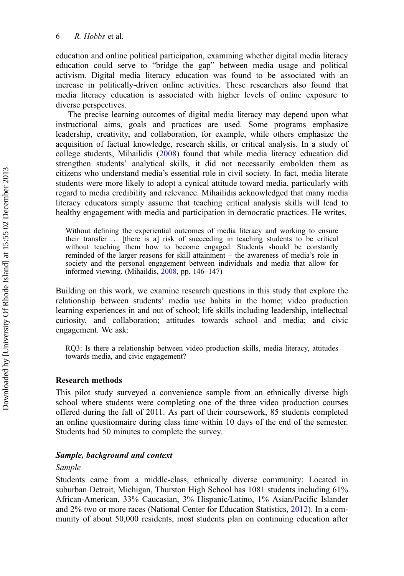education and online political participation, examining whether digital media literacy education could serve to "bridge the gap" between media usage and political activism. Digital media literacy education was found to be associated with an increase in politically-driven online activities. These researchers also found that media literacy education is associated with higher levels of online exposure to diverse perspectives.

The precise learning outcomes of digital media literacy may depend upon what instructional aims, goals and practices are used. Some programs emphasize leadership, creativity, and collaboration, for example, while others emphasize the acquisition of factual knowledge, research skills, or critical analysis. In a study of college students, Mihailidis ([2008\)](#page-16-0) found that while media literacy education did strengthen students' analytical skills, it did not necessarily embolden them as citizens who understand media's essential role in civil society. In fact, media literate students were more likely to adopt a cynical attitude toward media, particularly with regard to media credibility and relevance. Mihailidis acknowledged that many media literacy educators simply assume that teaching critical analysis skills will lead to healthy engagement with media and participation in democratic practices. He writes,

Without defining the experiential outcomes of media literacy and working to ensure their transfer … [there is a] risk of succeeding in teaching students to be critical without teaching them how to become engaged. Students should be constantly reminded of the larger reasons for skill attainment – the awareness of media's role in society and the personal engagement between individuals and media that allow for informed viewing. (Mihaildis, [2008,](#page-16-0) pp. 146–147)

Building on this work, we examine research questions in this study that explore the relationship between students' media use habits in the home; video production learning experiences in and out of school; life skills including leadership, intellectual curiosity, and collaboration; attitudes towards school and media; and civic engagement. We ask:

RQ3: Is there a relationship between video production skills, media literacy, attitudes towards media, and civic engagement?

# Research methods

This pilot study surveyed a convenience sample from an ethnically diverse high school where students were completing one of the three video production courses offered during the fall of 2011. As part of their coursework, 85 students completed an online questionnaire during class time within 10 days of the end of the semester. Students had 50 minutes to complete the survey.

# Sample, background and context

## Sample

Students came from a middle-class, ethnically diverse community: Located in suburban Detroit, Michigan, Thurston High School has 1081 students including 61% African-American, 33% Caucasian, 3% Hispanic/Latino, 1% Asian/Pacific Islander and 2% two or more races (National Center for Education Statistics, [2012](#page-17-0)). In a community of about 50,000 residents, most students plan on continuing education after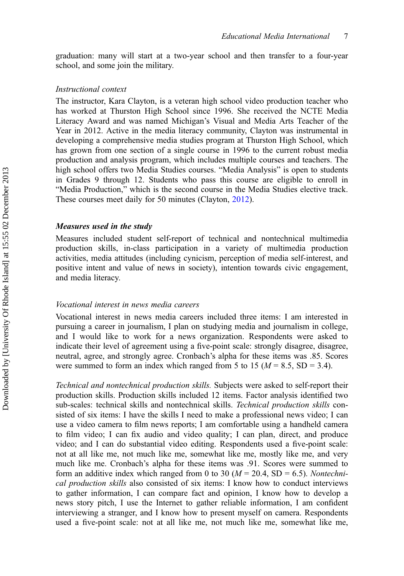graduation: many will start at a two-year school and then transfer to a four-year school, and some join the military.

#### Instructional context

The instructor, Kara Clayton, is a veteran high school video production teacher who has worked at Thurston High School since 1996. She received the NCTE Media Literacy Award and was named Michigan's Visual and Media Arts Teacher of the Year in 2012. Active in the media literacy community, Clayton was instrumental in developing a comprehensive media studies program at Thurston High School, which has grown from one section of a single course in 1996 to the current robust media production and analysis program, which includes multiple courses and teachers. The high school offers two Media Studies courses. "Media Analysis" is open to students in Grades 9 through 12. Students who pass this course are eligible to enroll in "Media Production," which is the second course in the Media Studies elective track. These courses meet daily for 50 minutes (Clayton, [2012](#page-16-0)).

#### Measures used in the study

Measures included student self-report of technical and nontechnical multimedia production skills, in-class participation in a variety of multimedia production activities, media attitudes (including cynicism, perception of media self-interest, and positive intent and value of news in society), intention towards civic engagement, and media literacy.

#### Vocational interest in news media careers

Vocational interest in news media careers included three items: I am interested in pursuing a career in journalism, I plan on studying media and journalism in college, and I would like to work for a news organization. Respondents were asked to indicate their level of agreement using a five-point scale: strongly disagree, disagree, neutral, agree, and strongly agree. Cronbach's alpha for these items was .85. Scores were summed to form an index which ranged from 5 to 15 ( $M = 8.5$ , SD = 3.4).

Technical and nontechnical production skills. Subjects were asked to self-report their production skills. Production skills included 12 items. Factor analysis identified two sub-scales: technical skills and nontechnical skills. Technical production skills consisted of six items: I have the skills I need to make a professional news video; I can use a video camera to film news reports; I am comfortable using a handheld camera to film video; I can fix audio and video quality; I can plan, direct, and produce video; and I can do substantial video editing. Respondents used a five-point scale: not at all like me, not much like me, somewhat like me, mostly like me, and very much like me. Cronbach's alpha for these items was .91. Scores were summed to form an additive index which ranged from 0 to 30 ( $M = 20.4$ , SD = 6.5). Nontechnical production skills also consisted of six items: I know how to conduct interviews to gather information, I can compare fact and opinion, I know how to develop a news story pitch, I use the Internet to gather reliable information, I am confident interviewing a stranger, and I know how to present myself on camera. Respondents used a five-point scale: not at all like me, not much like me, somewhat like me,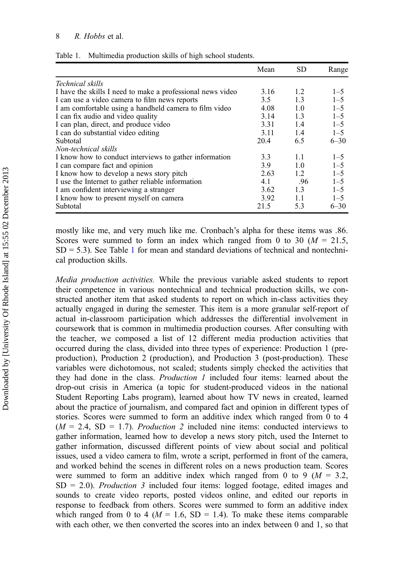|                                                            | Mean | <b>SD</b> | Range    |
|------------------------------------------------------------|------|-----------|----------|
| Technical skills                                           |      |           |          |
| I have the skills I need to make a professional news video | 3.16 | 1.2       | $1 - 5$  |
| I can use a video camera to film news reports              | 3.5  | 1.3       | $1 - 5$  |
| I am comfortable using a handheld camera to film video     | 4.08 | 1.0       | $1 - 5$  |
| I can fix audio and video quality                          | 3.14 | 1.3       | $1 - 5$  |
| I can plan, direct, and produce video                      | 3.31 | 1.4       | $1 - 5$  |
| I can do substantial video editing                         | 3.11 | 1.4       | $1 - 5$  |
| Subtotal                                                   | 20.4 | 6.5       | $6 - 30$ |
| Non-technical skills                                       |      |           |          |
| I know how to conduct interviews to gather information     | 3.3  | 1.1       | $1 - 5$  |
| I can compare fact and opinion                             | 3.9  | 1.0       | $1 - 5$  |
| I know how to develop a news story pitch                   | 2.63 | 1.2       | $1 - 5$  |
| I use the Internet to gather reliable information          | 4.1  | .96       | $1 - 5$  |
| I am confident interviewing a stranger                     | 3.62 | 1.3       | $1 - 5$  |
| I know how to present myself on camera                     | 3.92 | 1.1       | $1 - 5$  |
| Subtotal                                                   | 21.5 | 5.3       | $6 - 30$ |

<span id="page-9-0"></span>Table 1. Multimedia production skills of high school students.

mostly like me, and very much like me. Cronbach's alpha for these items was .86. Scores were summed to form an index which ranged from 0 to 30 ( $M = 21.5$ ,  $SD = 5.3$ ). See Table 1 for mean and standard deviations of technical and nontechnical production skills.

Media production activities. While the previous variable asked students to report their competence in various nontechnical and technical production skills, we constructed another item that asked students to report on which in-class activities they actually engaged in during the semester. This item is a more granular self-report of actual in-classroom participation which addresses the differential involvement in coursework that is common in multimedia production courses. After consulting with the teacher, we composed a list of 12 different media production activities that occurred during the class, divided into three types of experience: Production 1 (preproduction), Production 2 (production), and Production 3 (post-production). These variables were dichotomous, not scaled; students simply checked the activities that they had done in the class. Production 1 included four items: learned about the drop-out crisis in America (a topic for student-produced videos in the national Student Reporting Labs program), learned about how TV news in created, learned about the practice of journalism, and compared fact and opinion in different types of stories. Scores were summed to form an additive index which ranged from 0 to 4  $(M = 2.4, SD = 1.7)$ . Production 2 included nine items: conducted interviews to gather information, learned how to develop a news story pitch, used the Internet to gather information, discussed different points of view about social and political issues, used a video camera to film, wrote a script, performed in front of the camera, and worked behind the scenes in different roles on a news production team. Scores were summed to form an additive index which ranged from 0 to 9 ( $M = 3.2$ ,  $SD = 2.0$ ). *Production 3* included four items: logged footage, edited images and sounds to create video reports, posted videos online, and edited our reports in response to feedback from others. Scores were summed to form an additive index which ranged from 0 to 4 ( $M = 1.6$ , SD = 1.4). To make these items comparable with each other, we then converted the scores into an index between 0 and 1, so that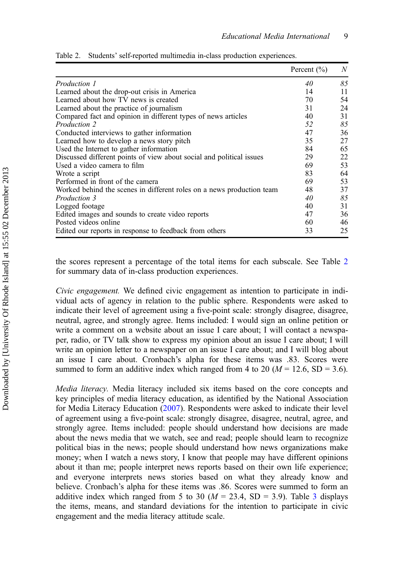|                                                                       | Percent $(\% )$ | N  |
|-----------------------------------------------------------------------|-----------------|----|
| Production 1                                                          | 40              | 85 |
| Learned about the drop-out crisis in America                          | 14              | 11 |
| Learned about how TV news is created                                  | 70              | 54 |
| Learned about the practice of journalism                              | 31              | 24 |
| Compared fact and opinion in different types of news articles         | 40              | 31 |
| <i>Production 2</i>                                                   | 52              | 85 |
| Conducted interviews to gather information                            | 47              | 36 |
| Learned how to develop a news story pitch                             | 35              | 27 |
| Used the Internet to gather information                               | 84              | 65 |
| Discussed different points of view about social and political issues  | 29              | 22 |
| Used a video camera to film                                           | 69              | 53 |
| Wrote a script                                                        | 83              | 64 |
| Performed in front of the camera                                      | 69              | 53 |
| Worked behind the scenes in different roles on a news production team | 48              | 37 |
| Production 3                                                          | 40              | 85 |
| Logged footage                                                        | 40              | 31 |
| Edited images and sounds to create video reports                      | 47              | 36 |
| Posted videos online                                                  | 60              | 46 |
| Edited our reports in response to feedback from others                | 33              | 25 |

Table 2. Students' self-reported multimedia in-class production experiences.

the scores represent a percentage of the total items for each subscale. See Table 2 for summary data of in-class production experiences.

Civic engagement. We defined civic engagement as intention to participate in individual acts of agency in relation to the public sphere. Respondents were asked to indicate their level of agreement using a five-point scale: strongly disagree, disagree, neutral, agree, and strongly agree. Items included: I would sign an online petition or write a comment on a website about an issue I care about; I will contact a newspaper, radio, or TV talk show to express my opinion about an issue I care about; I will write an opinion letter to a newspaper on an issue I care about; and I will blog about an issue I care about. Cronbach's alpha for these items was .83. Scores were summed to form an additive index which ranged from 4 to 20 ( $M = 12.6$ , SD = 3.6).

Media literacy. Media literacy included six items based on the core concepts and key principles of media literacy education, as identified by the National Association for Media Literacy Education [\(2007](#page-17-0)). Respondents were asked to indicate their level of agreement using a five-point scale: strongly disagree, disagree, neutral, agree, and strongly agree. Items included: people should understand how decisions are made about the news media that we watch, see and read; people should learn to recognize political bias in the news; people should understand how news organizations make money; when I watch a news story, I know that people may have different opinions about it than me; people interpret news reports based on their own life experience; and everyone interprets news stories based on what they already know and believe. Cronbach's alpha for these items was .86. Scores were summed to form an additive index which ranged from 5 to [3](#page-11-0)0 ( $M = 23.4$ , SD = 3.9). Table 3 displays the items, means, and standard deviations for the intention to participate in civic engagement and the media literacy attitude scale.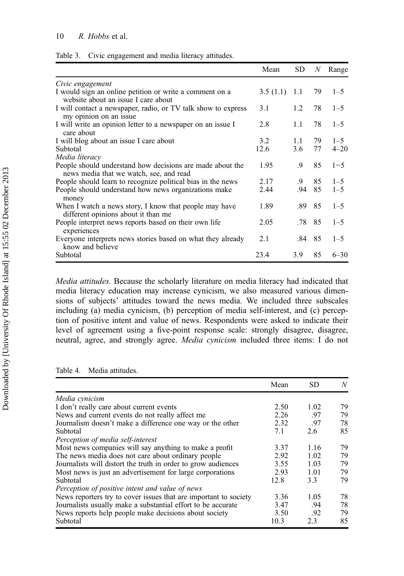<span id="page-11-0"></span>

|  | Table 3. Civic engagement and media literacy attitudes. |  |  |  |
|--|---------------------------------------------------------|--|--|--|
|--|---------------------------------------------------------|--|--|--|

|                                                                                                      | Mean     | SD.             | N  | Range    |
|------------------------------------------------------------------------------------------------------|----------|-----------------|----|----------|
| Civic engagement                                                                                     |          |                 |    |          |
| I would sign an online petition or write a comment on a<br>website about an issue I care about       | 3.5(1.1) | 1.1             | 79 | $1 - 5$  |
| I will contact a newspaper, radio, or TV talk show to express<br>my opinion on an issue              | 3.1      | $1.2^{\circ}$   | 78 | $1 - 5$  |
| I will write an opinion letter to a newspaper on an issue I<br>care about                            | 2.8      | 1.1             | 78 | $1 - 5$  |
| I will blog about an issue I care about                                                              | 3.2      | 1.1             | 79 | $1 - 5$  |
| Subtotal                                                                                             | 12.6     | 3.6             | 77 | $4 - 20$ |
| Media literacy                                                                                       |          |                 |    |          |
| People should understand how decisions are made about the<br>news media that we watch, see, and read | 1.95     | .9              | 85 | $1 - 5$  |
| People should learn to recognize political bias in the news                                          | 2.17     | $.9\phantom{0}$ | 85 | $1 - 5$  |
| People should understand how news organizations make<br>money                                        | 2.44     | .94             | 85 | $1 - 5$  |
| When I watch a news story, I know that people may have<br>different opinions about it than me        | 1.89     | .89             | 85 | $1 - 5$  |
| People interpret news reports based on their own life<br>experiences                                 | 2.05     | .78             | 85 | $1 - 5$  |
| Everyone interprets news stories based on what they already<br>know and believe                      | 2.1      | .84 85          |    | $1 - 5$  |
| Subtotal                                                                                             | 23.4     | 3.9             | 85 | $6 - 30$ |

Media attitudes. Because the scholarly literature on media literacy had indicated that media literacy education may increase cynicism, we also measured various dimensions of subjects' attitudes toward the news media. We included three subscales including (a) media cynicism, (b) perception of media self-interest, and (c) perception of positive intent and value of news. Respondents were asked to indicate their level of agreement using a five-point response scale: strongly disagree, disagree, neutral, agree, and strongly agree. Media cynicism included three items: I do not

Table 4. Media attitudes.

|                                                                  | Mean | SD.  | N  |
|------------------------------------------------------------------|------|------|----|
| Media cynicism                                                   |      |      |    |
| I don't really care about current events                         | 2.50 | 1.02 | 79 |
| News and current events do not really affect me                  | 2.26 | .97  | 79 |
| Journalism doesn't make a difference one way or the other        | 2.32 | .97  | 78 |
| Subtotal                                                         | 7.1  | 2.6  | 85 |
| Perception of media self-interest                                |      |      |    |
| Most news companies will say anything to make a profit           | 3.37 | 1.16 | 79 |
| The news media does not care about ordinary people               | 2.92 | 1.02 | 79 |
| Journalists will distort the truth in order to grow audiences    | 3.55 | 1.03 | 79 |
| Most news is just an advertisement for large corporations        | 2.93 | 1.01 | 79 |
| Subtotal                                                         | 12.8 | 3.3  | 79 |
| Perception of positive intent and value of news                  |      |      |    |
| News reporters try to cover issues that are important to society | 3.36 | 1.05 | 78 |
| Journalists usually make a substantial effort to be accurate     | 3.47 | .94  | 78 |
| News reports help people make decisions about society            | 3.50 | .92  | 79 |
| Subtotal                                                         | 10.3 | 2.3  | 85 |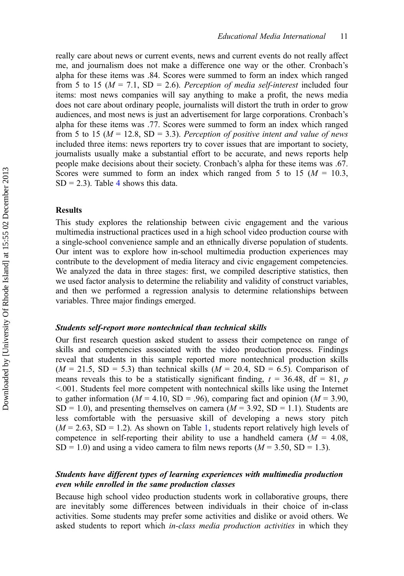really care about news or current events, news and current events do not really affect me, and journalism does not make a difference one way or the other. Cronbach's alpha for these items was .84. Scores were summed to form an index which ranged from 5 to 15 ( $M = 7.1$ , SD = 2.6). Perception of media self-interest included four items: most news companies will say anything to make a profit, the news media does not care about ordinary people, journalists will distort the truth in order to grow audiences, and most news is just an advertisement for large corporations. Cronbach's alpha for these items was .77. Scores were summed to form an index which ranged from 5 to 15 ( $M = 12.8$ , SD = 3.3). Perception of positive intent and value of news included three items: news reporters try to cover issues that are important to society, journalists usually make a substantial effort to be accurate, and news reports help people make decisions about their society. Cronbach's alpha for these items was .67. Scores were summed to form an index which ranged from 5 to 15 ( $M = 10.3$ ,  $SD = 2.3$ ). Table [4](#page-11-0) shows this data.

#### Results

This study explores the relationship between civic engagement and the various multimedia instructional practices used in a high school video production course with a single-school convenience sample and an ethnically diverse population of students. Our intent was to explore how in-school multimedia production experiences may contribute to the development of media literacy and civic engagement competencies. We analyzed the data in three stages: first, we compiled descriptive statistics, then we used factor analysis to determine the reliability and validity of construct variables, and then we performed a regression analysis to determine relationships between variables. Three major findings emerged.

#### Students self-report more nontechnical than technical skills

Our first research question asked student to assess their competence on range of skills and competencies associated with the video production process. Findings reveal that students in this sample reported more nontechnical production skills  $(M = 21.5, SD = 5.3)$  than technical skills  $(M = 20.4, SD = 6.5)$ . Comparison of means reveals this to be a statistically significant finding,  $t = 36.48$ , df = 81, p <.001. Students feel more competent with nontechnical skills like using the Internet to gather information ( $M = 4.10$ , SD = .96), comparing fact and opinion ( $M = 3.90$ ,  $SD = 1.0$ ), and presenting themselves on camera ( $M = 3.92$ ,  $SD = 1.1$ ). Students are less comfortable with the persuasive skill of developing a news story pitch  $(M = 2.63, SD = 1.2)$ . As shown on Table [1,](#page-9-0) students report relatively high levels of competence in self-reporting their ability to use a handheld camera  $(M = 4.08$ ,  $SD = 1.0$ ) and using a video camera to film news reports ( $M = 3.50$ ,  $SD = 1.3$ ).

## Students have different types of learning experiences with multimedia production even while enrolled in the same production classes

Because high school video production students work in collaborative groups, there are inevitably some differences between individuals in their choice of in-class activities. Some students may prefer some activities and dislike or avoid others. We asked students to report which *in-class media production activities* in which they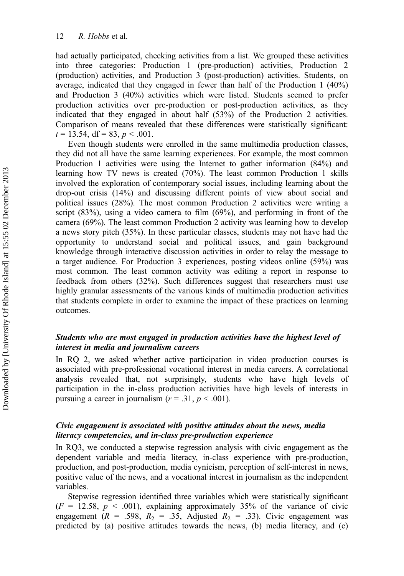had actually participated, checking activities from a list. We grouped these activities into three categories: Production 1 (pre-production) activities, Production 2 (production) activities, and Production 3 (post-production) activities. Students, on average, indicated that they engaged in fewer than half of the Production 1 (40%) and Production 3 (40%) activities which were listed. Students seemed to prefer production activities over pre-production or post-production activities, as they indicated that they engaged in about half (53%) of the Production 2 activities. Comparison of means revealed that these differences were statistically significant:  $t = 13.54$ , df = 83, p < .001.

Even though students were enrolled in the same multimedia production classes, they did not all have the same learning experiences. For example, the most common Production 1 activities were using the Internet to gather information (84%) and learning how TV news is created (70%). The least common Production 1 skills involved the exploration of contemporary social issues, including learning about the drop-out crisis (14%) and discussing different points of view about social and political issues (28%). The most common Production 2 activities were writing a script (83%), using a video camera to film (69%), and performing in front of the camera (69%). The least common Production 2 activity was learning how to develop a news story pitch (35%). In these particular classes, students may not have had the opportunity to understand social and political issues, and gain background knowledge through interactive discussion activities in order to relay the message to a target audience. For Production 3 experiences, posting videos online (59%) was most common. The least common activity was editing a report in response to feedback from others (32%). Such differences suggest that researchers must use highly granular assessments of the various kinds of multimedia production activities that students complete in order to examine the impact of these practices on learning outcomes.

# Students who are most engaged in production activities have the highest level of interest in media and journalism careers

In RQ 2, we asked whether active participation in video production courses is associated with pre-professional vocational interest in media careers. A correlational analysis revealed that, not surprisingly, students who have high levels of participation in the in-class production activities have high levels of interests in pursuing a career in journalism ( $r = .31$ ,  $p < .001$ ).

# Civic engagement is associated with positive attitudes about the news, media literacy competencies, and in-class pre-production experience

In RQ3, we conducted a stepwise regression analysis with civic engagement as the dependent variable and media literacy, in-class experience with pre-production, production, and post-production, media cynicism, perception of self-interest in news, positive value of the news, and a vocational interest in journalism as the independent variables.

Stepwise regression identified three variables which were statistically significant  $(F = 12.58, p < .001)$ , explaining approximately 35% of the variance of civic engagement ( $R = .598$ ,  $R_2 = .35$ , Adjusted  $R_2 = .33$ ). Civic engagement was predicted by (a) positive attitudes towards the news, (b) media literacy, and (c)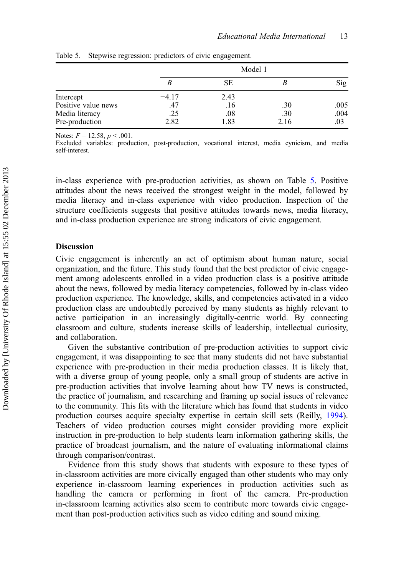|                     | Model 1 |      |      |      |
|---------------------|---------|------|------|------|
|                     |         | SЕ   |      | Sig  |
| Intercept           | $-4.17$ | 2.43 |      |      |
| Positive value news | .47     | .16  | .30  | .005 |
| Media literacy      | .25     | .08  | .30  | .004 |
| Pre-production      | 2.82    | 1.83 | 2.16 | .03  |

Table 5. Stepwise regression: predictors of civic engagement.

Notes:  $F = 12.58$ ,  $p < .001$ .

Excluded variables: production, post-production, vocational interest, media cynicism, and media self-interest.

in-class experience with pre-production activities, as shown on Table 5. Positive attitudes about the news received the strongest weight in the model, followed by media literacy and in-class experience with video production. Inspection of the structure coefficients suggests that positive attitudes towards news, media literacy, and in-class production experience are strong indicators of civic engagement.

#### **Discussion**

Civic engagement is inherently an act of optimism about human nature, social organization, and the future. This study found that the best predictor of civic engagement among adolescents enrolled in a video production class is a positive attitude about the news, followed by media literacy competencies, followed by in-class video production experience. The knowledge, skills, and competencies activated in a video production class are undoubtedly perceived by many students as highly relevant to active participation in an increasingly digitally-centric world. By connecting classroom and culture, students increase skills of leadership, intellectual curiosity, and collaboration.

Given the substantive contribution of pre-production activities to support civic engagement, it was disappointing to see that many students did not have substantial experience with pre-production in their media production classes. It is likely that, with a diverse group of young people, only a small group of students are active in pre-production activities that involve learning about how TV news is constructed, the practice of journalism, and researching and framing up social issues of relevance to the community. This fits with the literature which has found that students in video production courses acquire specialty expertise in certain skill sets (Reilly, [1994](#page-17-0)). Teachers of video production courses might consider providing more explicit instruction in pre-production to help students learn information gathering skills, the practice of broadcast journalism, and the nature of evaluating informational claims through comparison/contrast.

Evidence from this study shows that students with exposure to these types of in-classroom activities are more civically engaged than other students who may only experience in-classroom learning experiences in production activities such as handling the camera or performing in front of the camera. Pre-production in-classroom learning activities also seem to contribute more towards civic engagement than post-production activities such as video editing and sound mixing.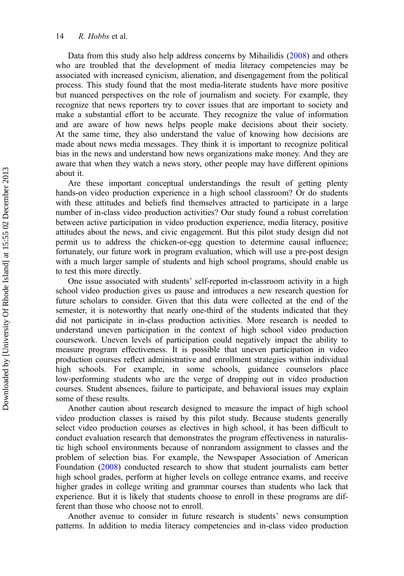Data from this study also help address concerns by Mihailidis ([2008\)](#page-16-0) and others who are troubled that the development of media literacy competencies may be associated with increased cynicism, alienation, and disengagement from the political process. This study found that the most media-literate students have more positive but nuanced perspectives on the role of journalism and society. For example, they recognize that news reporters try to cover issues that are important to society and make a substantial effort to be accurate. They recognize the value of information and are aware of how news helps people make decisions about their society. At the same time, they also understand the value of knowing how decisions are made about news media messages. They think it is important to recognize political bias in the news and understand how news organizations make money. And they are aware that when they watch a news story, other people may have different opinions about it.

Are these important conceptual understandings the result of getting plenty hands-on video production experience in a high school classroom? Or do students with these attitudes and beliefs find themselves attracted to participate in a large number of in-class video production activities? Our study found a robust correlation between active participation in video production experience, media literacy, positive attitudes about the news, and civic engagement. But this pilot study design did not permit us to address the chicken-or-egg question to determine causal influence; fortunately, our future work in program evaluation, which will use a pre-post design with a much larger sample of students and high school programs, should enable us to test this more directly.

One issue associated with students' self-reported in-classroom activity in a high school video production gives us pause and introduces a new research question for future scholars to consider. Given that this data were collected at the end of the semester, it is noteworthy that nearly one-third of the students indicated that they did not participate in in-class production activities. More research is needed to understand uneven participation in the context of high school video production coursework. Uneven levels of participation could negatively impact the ability to measure program effectiveness. It is possible that uneven participation in video production courses reflect administrative and enrollment strategies within individual high schools. For example, in some schools, guidance counselors place low-performing students who are the verge of dropping out in video production courses. Student absences, failure to participate, and behavioral issues may explain some of these results.

Another caution about research designed to measure the impact of high school video production classes is raised by this pilot study. Because students generally select video production courses as electives in high school, it has been difficult to conduct evaluation research that demonstrates the program effectiveness in naturalistic high school environments because of nonrandom assignment to classes and the problem of selection bias. For example, the Newspaper Association of American Foundation [\(2008](#page-17-0)) conducted research to show that student journalists earn better high school grades, perform at higher levels on college entrance exams, and receive higher grades in college writing and grammar courses than students who lack that experience. But it is likely that students choose to enroll in these programs are different than those who choose not to enroll.

Another avenue to consider in future research is students' news consumption patterns. In addition to media literacy competencies and in-class video production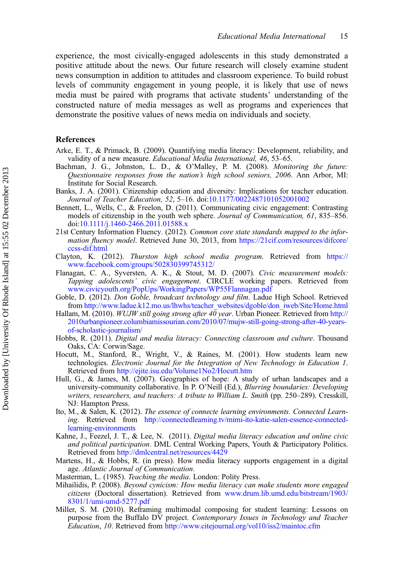<span id="page-16-0"></span>experience, the most civically-engaged adolescents in this study demonstrated a positive attitude about the news. Our future research will closely examine student news consumption in addition to attitudes and classroom experience. To build robust levels of community engagement in young people, it is likely that use of news media must be paired with programs that activate students' understanding of the constructed nature of media messages as well as programs and experiences that demonstrate the positive values of news media on individuals and society.

#### References

- Arke, E. T., & Primack, B. (2009). Quantifying media literacy: Development, reliability, and validity of a new measure. Educational Media International, 46, 53–65.
- Bachman, J. G., Johnston, L. D., & O'Malley, P. M. (2008). Monitoring the future: Questionnaire responses from the nation's high school seniors, 2006. Ann Arbor, MI: Institute for Social Research.
- Banks, J. A. (2001). Citizenship education and diversity: Implications for teacher education. Journal of Teacher Education, 52, 5–16. doi[:10.1177/0022487101052001002](http://10.1177/0022487101052001002)
- Bennett, L., Wells, C., & Freelon, D. (2011). Communicating civic engagement: Contrasting models of citizenship in the youth web sphere. Journal of Communication, 61, 835–856. doi[:10.1111/j.1460-2466.2011.01588.x](http://10.1111/j.1460-2466.2011.01588.x)
- 21st Century Information Fluency. (2012). Common core state standards mapped to the information fluency model. Retrieved June 30, 2013, from [https://21cif.com/resources/difcore/](http://https://21cif.com/resources/difcore/ccss-dif.html) [ccss-dif.html](http://https://21cif.com/resources/difcore/ccss-dif.html)
- Clayton, K. (2012). Thurston high school media program. Retrieved from [https://](http://https://www.facebook.com/groups/502830399745312/) [www.facebook.com/groups/502830399745312/](http://https://www.facebook.com/groups/502830399745312/)
- Flanagan, C. A., Syversten, A. K., & Stout, M. D. (2007). Civic measurement models: Tapping adolescents' civic engagement. CIRCLE working papers. Retrieved from [www.civicyouth.org/PopUps/WorkingPapers/WP55Flannagan.pdf](http://www.civicyouth.org/PopUps/WorkingPapers/WP55Flannagan.pdf)
- Goble, D. (2012). Don Goble, broadcast technology and film. Ladue High School. Retrieved from [http://www.ladue.k12.mo.us/lhwhs/teacher\\_websites/dgoble/don\\_iweb/Site/Home.html](http://www.ladue.k12.mo.us/lhwhs/teacher_websites/dgoble/don_iweb/Site/Home.html)
- Hallam, M. (2010). WUJW still going strong after  $4\overline{0}$  year. Urban Pioneer. Retrieved from [http://](http://2010urbanpioneer.columbiamissourian.com/2010/07/mujw-still-going-strong-after-40-years-of-scholastic-journalism/) [2010urbanpioneer.columbiamissourian.com/2010/07/mujw-still-going-strong-after-40-years](http://2010urbanpioneer.columbiamissourian.com/2010/07/mujw-still-going-strong-after-40-years-of-scholastic-journalism/)[of-scholastic-journalism/](http://2010urbanpioneer.columbiamissourian.com/2010/07/mujw-still-going-strong-after-40-years-of-scholastic-journalism/)
- Hobbs, R. (2011). Digital and media literacy: Connecting classroom and culture. Thousand Oaks, CA: Corwin/Sage.
- Hocutt, M., Stanford, R., Wright, V., & Raines, M. (2001). How students learn new technologies. Electronic Journal for the Integration of New Technology in Education 1. Retrieved from <http://ejite.isu.edu/Volume1No2/Hocutt.htm>
- Hull, G., & James, M. (2007). Geographies of hope: A study of urban landscapes and a university-community collaborative. In P. O'Neill (Ed.), *Blurring boundaries: Developing* writers, researchers, and teachers: A tribute to William L. Smith (pp. 250-289). Cresskill, NJ: Hampton Press.
- Ito, M., & Salen, K. (2012). The essence of connecte learning environments. Connected Learning. Retrieved from [http://connectedlearning.tv/mimi-ito-katie-salen-essence-connected](http://connectedlearning.tv/mimi-ito-katie-salen-essence-connected-learning-environments)[learning-environments](http://connectedlearning.tv/mimi-ito-katie-salen-essence-connected-learning-environments)
- Kahne, J., Feezel, J. T., & Lee, N. (2011). Digital media literacy education and online civic and political participation. DML Central Working Papers, Youth & Participatory Politics. Retrieved from <http://dmlcentral.net/resources/4429>
- Martens, H., & Hobbs, R. (in press). How media literacy supports engagement in a digital age. Atlantic Journal of Communication.
- Masterman, L. (1985). Teaching the media. London: Polity Press.
- Mihailidis, P. (2008). Beyond cynicism: How media literacy can make students more engaged citizens (Doctoral dissertation). Retrieved from [www.drum.lib.umd.edu/bitstream/1903/](http://www.drum.lib.umd.edu/bitstream/1903/8301/1/umi-umd-5277.pdf) [8301/1/umi-umd-5277.pdf](http://www.drum.lib.umd.edu/bitstream/1903/8301/1/umi-umd-5277.pdf)
- Miller, S. M. (2010). Reframing multimodal composing for student learning: Lessons on purpose from the Buffalo DV project. Contemporary Issues in Technology and Teacher Education, 10. Retrieved from <http://www.citejournal.org/vol10/iss2/maintoc.cfm>